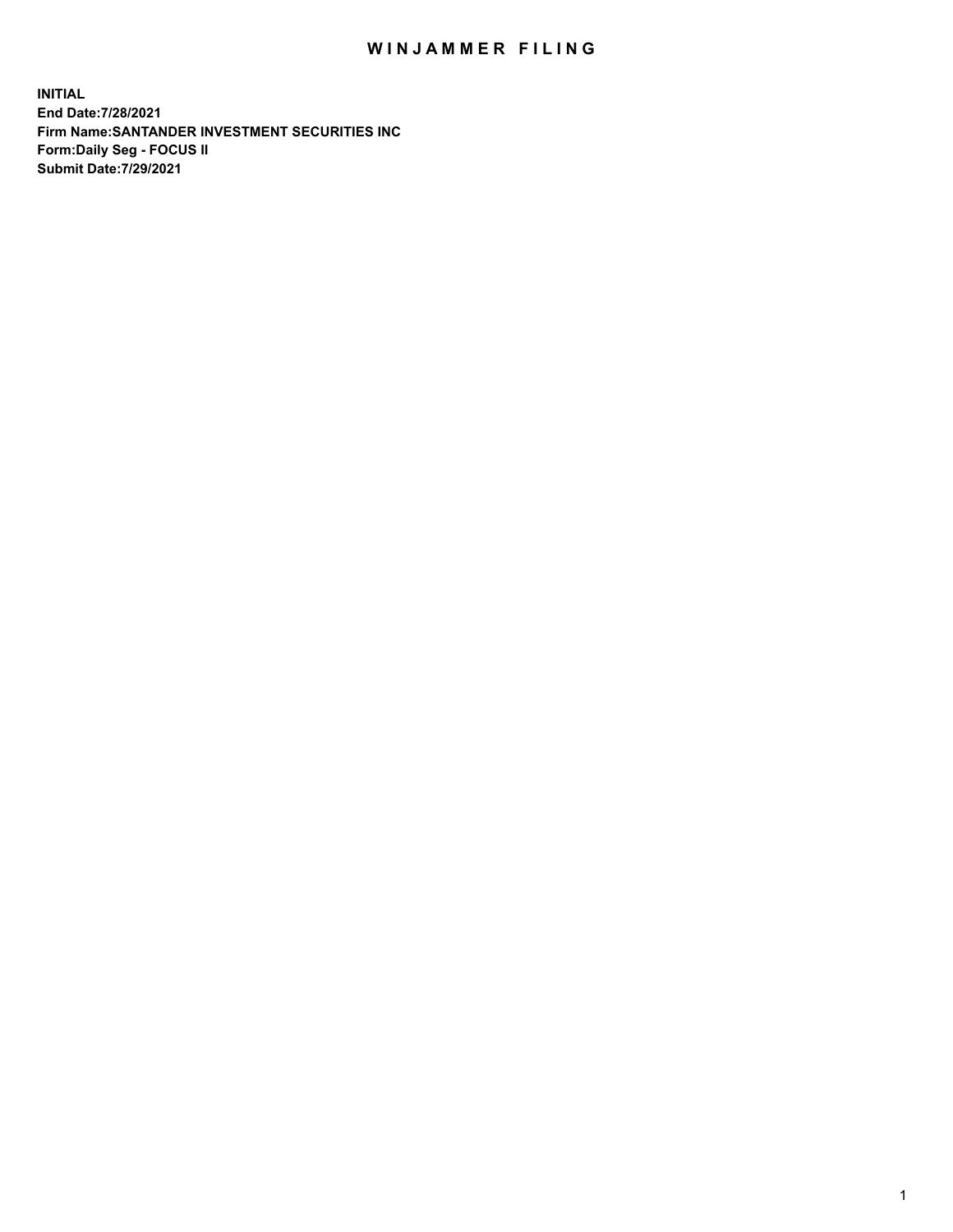## WIN JAMMER FILING

**INITIAL End Date:7/28/2021 Firm Name:SANTANDER INVESTMENT SECURITIES INC Form:Daily Seg - FOCUS II Submit Date:7/29/2021**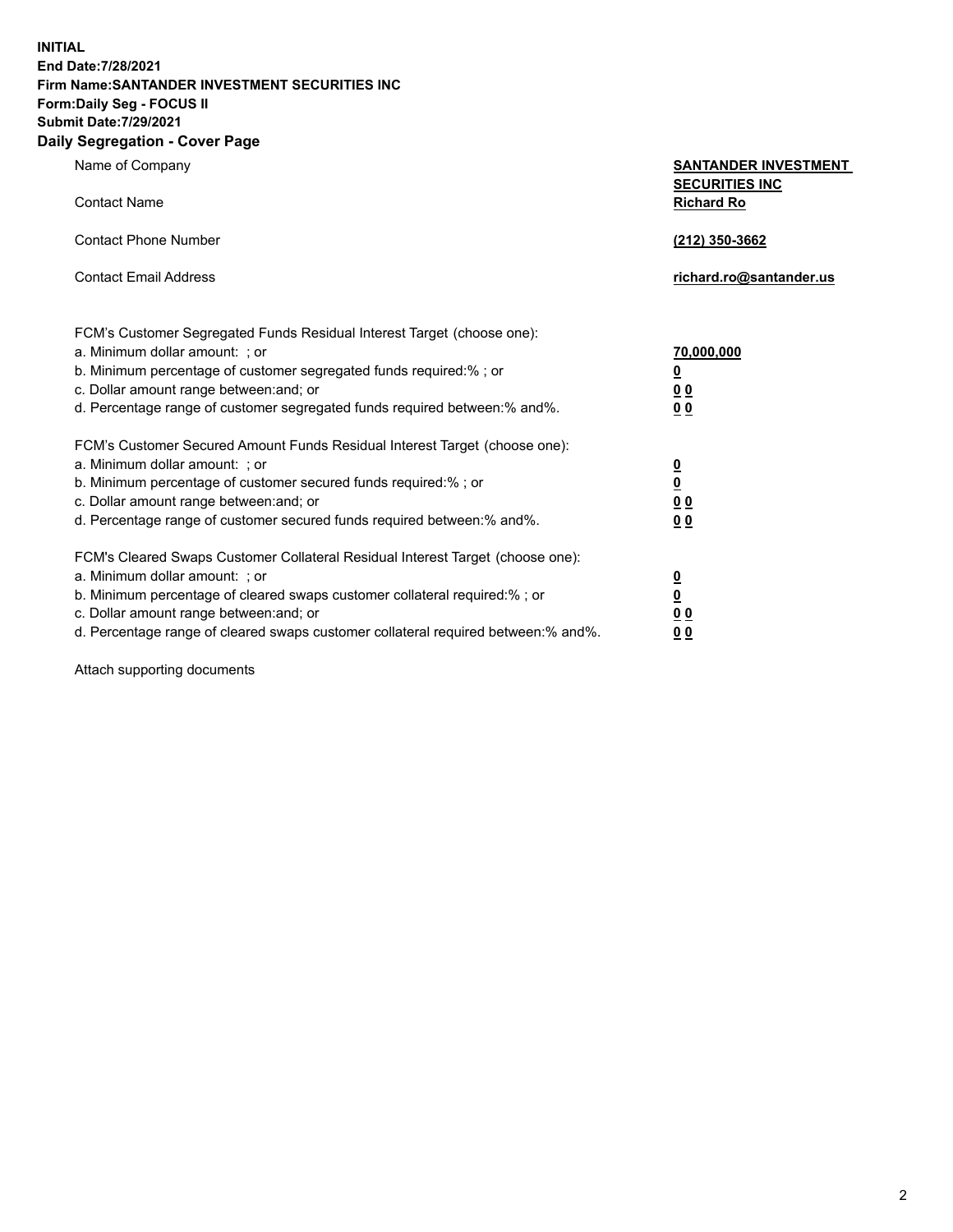**INITIAL End Date:7/28/2021 Firm Name:SANTANDER INVESTMENT SECURITIES INC Form:Daily Seg - FOCUS II Submit Date:7/29/2021 Daily Segregation - Cover Page**

| Name of Company                                                            | <b>SANTANDER INVESTMENT</b> |  |
|----------------------------------------------------------------------------|-----------------------------|--|
|                                                                            | <b>SECURITIES INC</b>       |  |
| Contact Name                                                               | <b>Richard Ro</b>           |  |
| <b>Contact Phone Number</b>                                                | (212) 350-3662              |  |
| Contact Email Address                                                      | richard.ro@santander.us     |  |
| FCM's Customer Segregated Funds Residual Interest Target (choose one):     |                             |  |
| a. Minimum dollar amount:  ; or                                            | 70,000,000                  |  |
| b. Minimum percentage of customer segregated funds required:% ; or         | $\overline{\mathbf{0}}$     |  |
| c. Dollar amount range between:and; or                                     | 0 <sub>0</sub>              |  |
| d. Percentage range of customer segregated funds reguired between:% and%.  | <u>00</u>                   |  |
| FCM's Customer Secured Amount Funds Residual Interest Target (choose one): |                             |  |

a. Minimum dollar amount: ; or **0**<br>b. Minimum percentage of customer secured funds required:% ; or **0** b. Minimum percentage of customer secured funds required:% ; or **0** c. Dollar amount range between:and; or **0 0** d. Percentage range of customer secured funds required between:% and%. **0 0** FCM's Cleared Swaps Customer Collateral Residual Interest Target (choose one): a. Minimum dollar amount: ; or **0**<br>b. Minimum percentage of cleared swaps customer collateral required:% ; or **0** b. Minimum percentage of cleared swaps customer collateral required:% ; or **0** c. Dollar amount range between:and; or **0 0** d. Percentage range of cleared swaps customer collateral required between:% and%. **0 0**

Attach supporting documents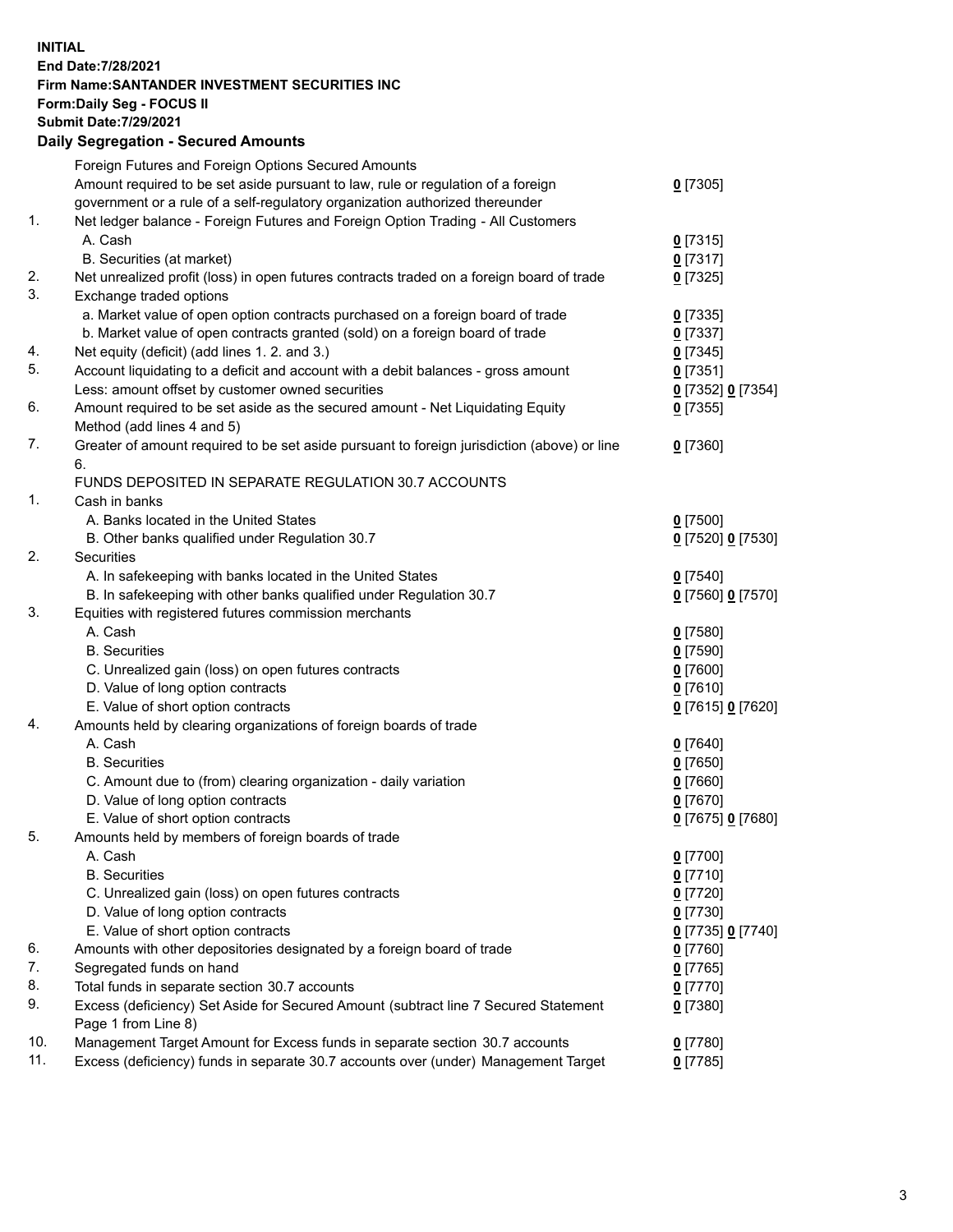**INITIAL End Date:7/28/2021 Firm Name:SANTANDER INVESTMENT SECURITIES INC Form:Daily Seg - FOCUS II Submit Date:7/29/2021 Daily Segregation - Secured Amounts**

|     | Foreign Futures and Foreign Options Secured Amounts                                         |                          |
|-----|---------------------------------------------------------------------------------------------|--------------------------|
|     | Amount required to be set aside pursuant to law, rule or regulation of a foreign            | $0$ [7305]               |
|     | government or a rule of a self-regulatory organization authorized thereunder                |                          |
| 1.  | Net ledger balance - Foreign Futures and Foreign Option Trading - All Customers             |                          |
|     | A. Cash                                                                                     | $0$ [7315]               |
|     | B. Securities (at market)                                                                   | $0$ [7317]               |
| 2.  | Net unrealized profit (loss) in open futures contracts traded on a foreign board of trade   | $0$ [7325]               |
| 3.  | Exchange traded options                                                                     |                          |
|     | a. Market value of open option contracts purchased on a foreign board of trade              | $0$ [7335]               |
|     | b. Market value of open contracts granted (sold) on a foreign board of trade                | $0$ [7337]               |
| 4.  | Net equity (deficit) (add lines 1. 2. and 3.)                                               | $0$ [7345]               |
| 5.  | Account liquidating to a deficit and account with a debit balances - gross amount           | $0$ [7351]               |
|     | Less: amount offset by customer owned securities                                            | 0 [7352] 0 [7354]        |
| 6.  | Amount required to be set aside as the secured amount - Net Liquidating Equity              | $0$ [7355]               |
|     | Method (add lines 4 and 5)                                                                  |                          |
| 7.  | Greater of amount required to be set aside pursuant to foreign jurisdiction (above) or line | $0$ [7360]               |
|     | 6.                                                                                          |                          |
|     | FUNDS DEPOSITED IN SEPARATE REGULATION 30.7 ACCOUNTS                                        |                          |
| 1.  | Cash in banks                                                                               |                          |
|     | A. Banks located in the United States                                                       | $0$ [7500]               |
|     | B. Other banks qualified under Regulation 30.7                                              | 0 [7520] 0 [7530]        |
| 2.  | <b>Securities</b>                                                                           |                          |
|     | A. In safekeeping with banks located in the United States                                   | $0$ [7540]               |
|     | B. In safekeeping with other banks qualified under Regulation 30.7                          | 0 [7560] 0 [7570]        |
| 3.  | Equities with registered futures commission merchants                                       |                          |
|     | A. Cash                                                                                     | $0$ [7580]               |
|     | <b>B.</b> Securities                                                                        | $0$ [7590]               |
|     | C. Unrealized gain (loss) on open futures contracts                                         | $0$ [7600]               |
|     | D. Value of long option contracts                                                           | $0$ [7610]               |
|     | E. Value of short option contracts                                                          | 0 [7615] 0 [7620]        |
| 4.  | Amounts held by clearing organizations of foreign boards of trade                           |                          |
|     | A. Cash                                                                                     | $0$ [7640]               |
|     | <b>B.</b> Securities                                                                        | $0$ [7650]               |
|     | C. Amount due to (from) clearing organization - daily variation                             | $0$ [7660]               |
|     | D. Value of long option contracts                                                           | $0$ [7670]               |
| 5.  | E. Value of short option contracts                                                          | 0 [7675] 0 [7680]        |
|     | Amounts held by members of foreign boards of trade                                          |                          |
|     | A. Cash                                                                                     | 0 [7700]                 |
|     | <b>B.</b> Securities<br>C. Unrealized gain (loss) on open futures contracts                 | 0 <sup>[7710]</sup>      |
|     | D. Value of long option contracts                                                           | $0$ [7720]<br>$0$ [7730] |
|     | E. Value of short option contracts                                                          | 0 [7735] 0 [7740]        |
| 6.  | Amounts with other depositories designated by a foreign board of trade                      | $0$ [7760]               |
| 7.  | Segregated funds on hand                                                                    | $0$ [7765]               |
| 8.  | Total funds in separate section 30.7 accounts                                               | $0$ [7770]               |
| 9.  | Excess (deficiency) Set Aside for Secured Amount (subtract line 7 Secured Statement         |                          |
|     | Page 1 from Line 8)                                                                         | 0 [7380]                 |
| 10. | Management Target Amount for Excess funds in separate section 30.7 accounts                 | $0$ [7780]               |
| 11. | Excess (deficiency) funds in separate 30.7 accounts over (under) Management Target          | 0 <sup>[7785]</sup>      |
|     |                                                                                             |                          |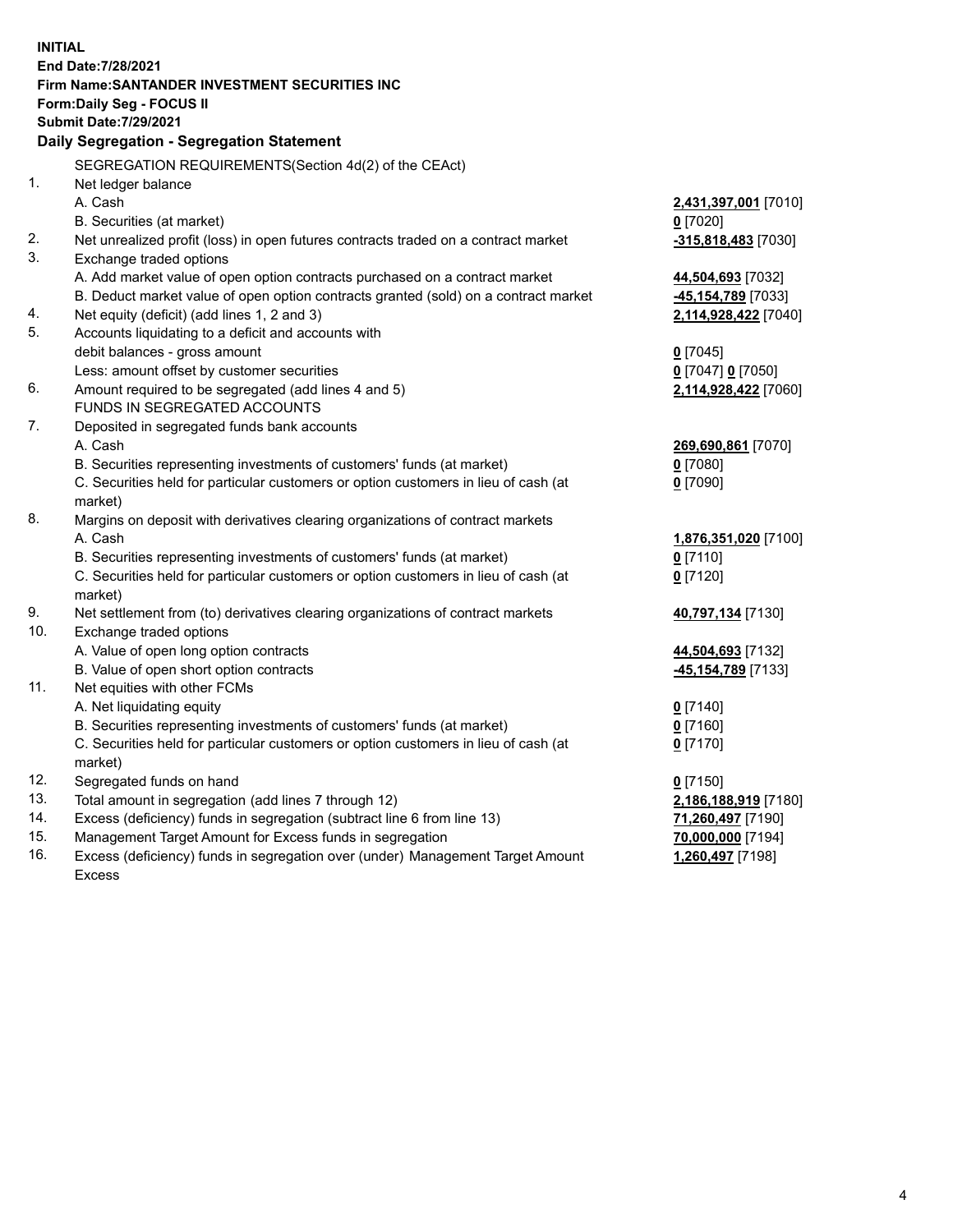| <b>INITIAL</b> |                                                                                     |                      |
|----------------|-------------------------------------------------------------------------------------|----------------------|
|                | End Date: 7/28/2021                                                                 |                      |
|                | Firm Name: SANTANDER INVESTMENT SECURITIES INC                                      |                      |
|                | Form: Daily Seg - FOCUS II                                                          |                      |
|                | <b>Submit Date: 7/29/2021</b>                                                       |                      |
|                | Daily Segregation - Segregation Statement                                           |                      |
|                | SEGREGATION REQUIREMENTS(Section 4d(2) of the CEAct)                                |                      |
| 1.             | Net ledger balance                                                                  |                      |
|                | A. Cash                                                                             | 2,431,397,001 [7010] |
|                | B. Securities (at market)                                                           | $0$ [7020]           |
| 2.             | Net unrealized profit (loss) in open futures contracts traded on a contract market  | -315,818,483 [7030]  |
| 3.             | Exchange traded options                                                             |                      |
|                | A. Add market value of open option contracts purchased on a contract market         | 44,504,693 [7032]    |
|                | B. Deduct market value of open option contracts granted (sold) on a contract market | -45,154,789 [7033]   |
| 4.             | Net equity (deficit) (add lines 1, 2 and 3)                                         | 2,114,928,422 [7040] |
| 5.             | Accounts liquidating to a deficit and accounts with                                 |                      |
|                | debit balances - gross amount                                                       | $0$ [7045]           |
|                | Less: amount offset by customer securities                                          | 0 [7047] 0 [7050]    |
| 6.             | Amount required to be segregated (add lines 4 and 5)                                | 2,114,928,422 [7060] |
|                | FUNDS IN SEGREGATED ACCOUNTS                                                        |                      |
| 7.             | Deposited in segregated funds bank accounts                                         |                      |
|                | A. Cash                                                                             | 269,690,861 [7070]   |
|                | B. Securities representing investments of customers' funds (at market)              | $0$ [7080]           |
|                | C. Securities held for particular customers or option customers in lieu of cash (at | $0$ [7090]           |
|                | market)                                                                             |                      |
| 8.             | Margins on deposit with derivatives clearing organizations of contract markets      |                      |
|                | A. Cash                                                                             | 1,876,351,020 [7100] |
|                | B. Securities representing investments of customers' funds (at market)              | $0$ [7110]           |
|                | C. Securities held for particular customers or option customers in lieu of cash (at | $0$ [7120]           |
|                | market)                                                                             |                      |
| 9.             | Net settlement from (to) derivatives clearing organizations of contract markets     | 40,797,134 [7130]    |
| 10.            | Exchange traded options                                                             |                      |
|                | A. Value of open long option contracts                                              | 44,504,693 [7132]    |
|                | B. Value of open short option contracts                                             | -45,154,789 [7133]   |
| 11.            | Net equities with other FCMs                                                        |                      |
|                | A. Net liquidating equity                                                           | $0$ [7140]           |
|                | B. Securities representing investments of customers' funds (at market)              | $0$ [7160]           |
|                | C. Securities held for particular customers or option customers in lieu of cash (at | $0$ [7170]           |
|                | market)                                                                             |                      |
| 12.            | Segregated funds on hand                                                            | $0$ [7150]           |
| 13.            | Total amount in segregation (add lines 7 through 12)                                | 2,186,188,919 [7180] |
| 14.<br>15.     | Excess (deficiency) funds in segregation (subtract line 6 from line 13)             | 71,260,497 [7190]    |
| 16.            | Management Target Amount for Excess funds in segregation                            | 70,000,000 [7194]    |
|                | Excess (deficiency) funds in segregation over (under) Management Target Amount      | 1,260,497 [7198]     |
|                | Excess                                                                              |                      |